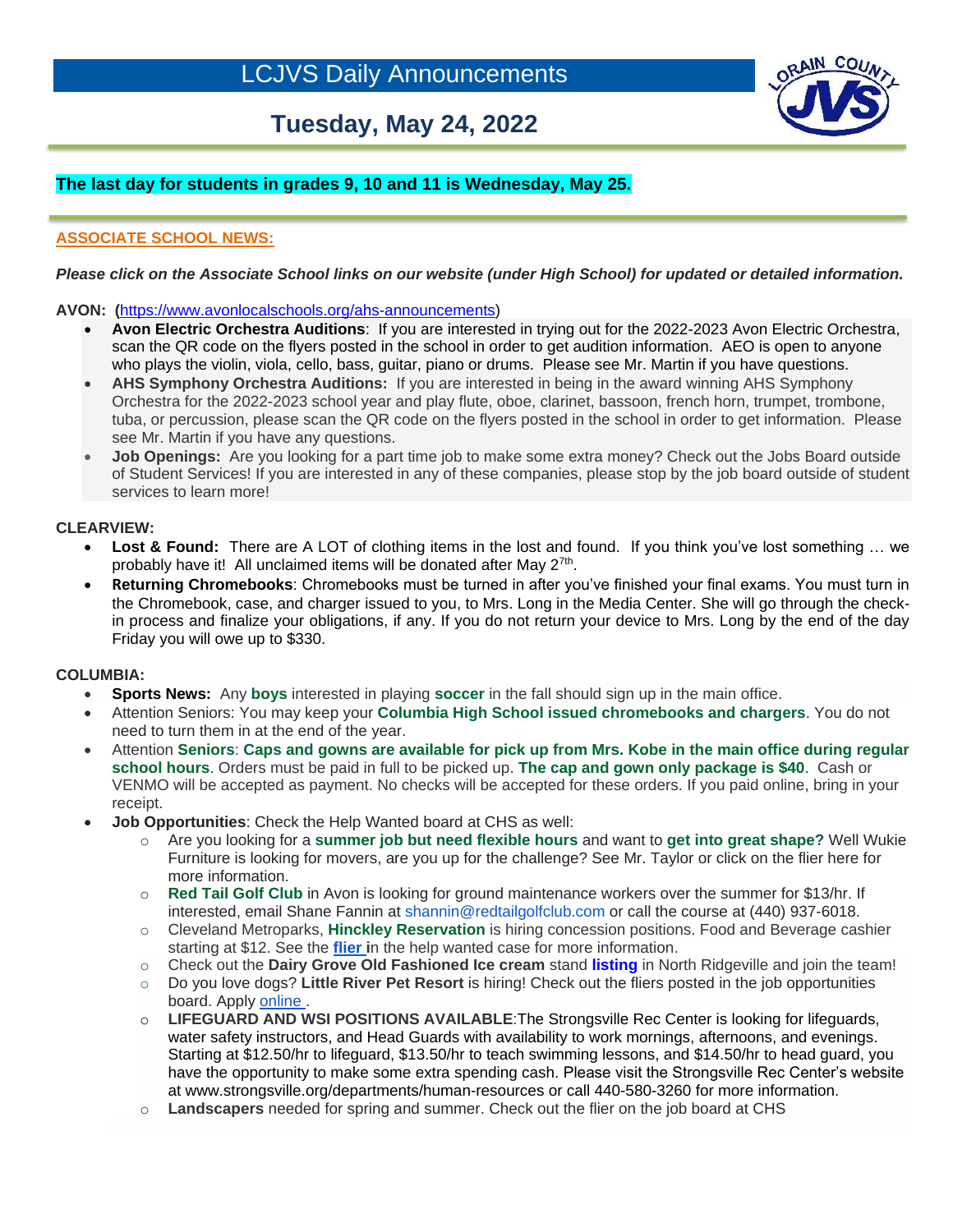# **Tuesday, May 24, 2022**



# **The last day for students in grades 9, 10 and 11 is Wednesday, May 25.**

# **ASSOCIATE SCHOOL NEWS:**

#### *Please click on the Associate School links on our website (under High School) for updated or detailed information.*

**AVON: (**[https://www.avonlocalschools.org/ahs-announcements\)](https://us-west-2.protection.sophos.com/?d=avonlocalschools.org&u=aHR0cHM6Ly93d3cuYXZvbmxvY2Fsc2Nob29scy5vcmcvYWhzLWFubm91bmNlbWVudHM=&i=NWZlZDBjMWEzZDZjMTkwZjdmZjliYWI3&t=ZGhzLzgrUGp6eXV2N3FKeXVKc0ROZi9kVGlYTllua2lyZUlqdkQwWS93az0=&h=6a27396ae14445cca746976f0a5f2409)

- **Avon Electric Orchestra Auditions**: If you are interested in trying out for the 2022-2023 Avon Electric Orchestra, scan the QR code on the flyers posted in the school in order to get audition information. AEO is open to anyone who plays the violin, viola, cello, bass, guitar, piano or drums. Please see Mr. Martin if you have questions.
- **AHS Symphony Orchestra Auditions:** If you are interested in being in the award winning AHS Symphony Orchestra for the 2022-2023 school year and play flute, oboe, clarinet, bassoon, french horn, trumpet, trombone, tuba, or percussion, please scan the QR code on the flyers posted in the school in order to get information. Please see Mr. Martin if you have any questions.
- **Job Openings:** Are you looking for a part time job to make some extra money? Check out the Jobs Board outside of Student Services! If you are interested in any of these companies, please stop by the job board outside of student services to learn more!

#### **CLEARVIEW:**

ł

- Lost & Found: There are A LOT of clothing items in the lost and found. If you think you've lost something ... we probably have it! All unclaimed items will be donated after May 2<sup>7th</sup>.
- **Returning Chromebooks**: Chromebooks must be turned in after you've finished your final exams. You must turn in the Chromebook, case, and charger issued to you, to Mrs. Long in the Media Center. She will go through the checkin process and finalize your obligations, if any. If you do not return your device to Mrs. Long by the end of the day Friday you will owe up to \$330.

#### **COLUMBIA:**

- **Sports News:** Any boys interested in playing soccer in the fall should sign up in the main office.
- Attention Seniors: You may keep your **Columbia High School issued chromebooks and chargers**. You do not need to turn them in at the end of the year.
- Attention **Seniors**: **Caps and gowns are available for pick up from Mrs. Kobe in the main office during regular school hours**. Orders must be paid in full to be picked up. **The cap and gown only package is \$40**. Cash or VENMO will be accepted as payment. No checks will be accepted for these orders. If you paid online, bring in your receipt.
- **Job Opportunities**: Check the Help Wanted board at CHS as well:
	- o Are you looking for a **summer job but need flexible hours** and want to **get into great shape?** Well Wukie Furniture is looking for movers, are you up for the challenge? See Mr. Taylor or click on the flier here for more information.
	- o **Red Tail Golf Club** in Avon is looking for ground maintenance workers over the summer for \$13/hr. If interested, email Shane Fannin at shannin@redtailgolfclub.com or call the course at (440) 937-6018.
	- o Cleveland Metroparks, **Hinckley Reservation** is hiring concession positions. Food and Beverage cashier starting at \$12. See the **[flier i](https://filecabinet5.eschoolview.com/D35B9DE7-C111-4B09-B3AE-29A841675B7F/hinckleyhiring.pdf)**n the help wanted case for more information.
	- o Check out the **Dairy Grove Old Fashioned Ice cream** stand **[listing](https://filecabinet5.eschoolview.com/D35B9DE7-C111-4B09-B3AE-29A841675B7F/DairyGroveflier.pdf)** in North Ridgeville and join the team!
	- o Do you love dogs? **Little River Pet Resort** is hiring! Check out the fliers posted in the job opportunities board. Apply [online .](http://www.littleriverpetresort.com/application/)
	- o **LIFEGUARD AND WSI POSITIONS AVAILABLE**:The Strongsville Rec Center is looking for lifeguards, water safety instructors, and Head Guards with availability to work mornings, afternoons, and evenings. Starting at \$12.50/hr to lifeguard, \$13.50/hr to teach swimming lessons, and \$14.50/hr to head guard, you have the opportunity to make some extra spending cash. Please visit the Strongsville Rec Center's website at [www.strongsville.org/departments/human-resources](http://www.strongsville.org/departments/human-resources) or call 440-580-3260 for more information.
	- o **Landscapers** needed for spring and summer. Check out the flier on the job board at CHS